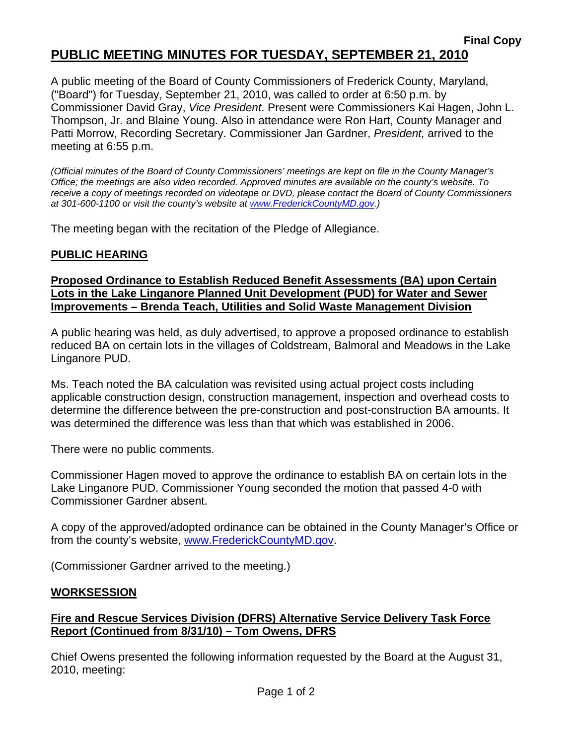# **Final Copy PUBLIC MEETING MINUTES FOR TUESDAY, SEPTEMBER 21, 2010**

A public meeting of the Board of County Commissioners of Frederick County, Maryland, ("Board") for Tuesday, September 21, 2010, was called to order at 6:50 p.m. by Commissioner David Gray, *Vice President*. Present were Commissioners Kai Hagen, John L. Thompson, Jr. and Blaine Young. Also in attendance were Ron Hart, County Manager and Patti Morrow, Recording Secretary. Commissioner Jan Gardner, *President,* arrived to the meeting at 6:55 p.m.

*(Official minutes of the Board of County Commissioners' meetings are kept on file in the County Manager's Office; the meetings are also video recorded. Approved minutes are available on the county's website. To receive a copy of meetings recorded on videotape or DVD, please contact the Board of County Commissioners at 301-600-1100 or visit the county's website at [www.FrederickCountyMD.gov](http://www.frederickcountymd.gov/).)* 

The meeting began with the recitation of the Pledge of Allegiance.

# **PUBLIC HEARING**

# **Proposed Ordinance to Establish Reduced Benefit Assessments (BA) upon Certain Lots in the Lake Linganore Planned Unit Development (PUD) for Water and Sewer Improvements – Brenda Teach, Utilities and Solid Waste Management Division**

A public hearing was held, as duly advertised, to approve a proposed ordinance to establish reduced BA on certain lots in the villages of Coldstream, Balmoral and Meadows in the Lake Linganore PUD.

Ms. Teach noted the BA calculation was revisited using actual project costs including applicable construction design, construction management, inspection and overhead costs to determine the difference between the pre-construction and post-construction BA amounts. It was determined the difference was less than that which was established in 2006.

There were no public comments.

Commissioner Hagen moved to approve the ordinance to establish BA on certain lots in the Lake Linganore PUD. Commissioner Young seconded the motion that passed 4-0 with Commissioner Gardner absent.

A copy of the approved/adopted ordinance can be obtained in the County Manager's Office or from the county's website, [www.FrederickCountyMD.gov.](http://www.frederickcountymd.gov/)

(Commissioner Gardner arrived to the meeting.)

## **WORKSESSION**

# **Fire and Rescue Services Division (DFRS) Alternative Service Delivery Task Force Report (Continued from 8/31/10) – Tom Owens, DFRS**

Chief Owens presented the following information requested by the Board at the August 31, 2010, meeting: